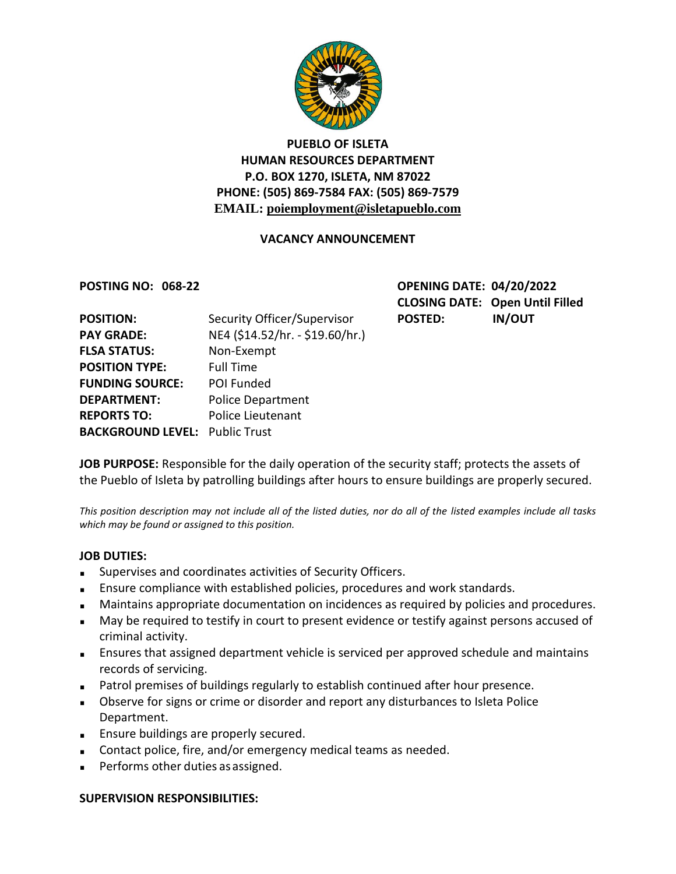

# **PUEBLO OF ISLETA HUMAN RESOURCES DEPARTMENT P.O. BOX 1270, ISLETA, NM 87022 PHONE: (505) 869-7584 FAX: (505) 869-7579 EMAIL: poiemployment@isletapueblo.com**

# **VACANCY ANNOUNCEMENT**

**POSTING NO: 068-22 OPENING DATE: 04/20/2022 CLOSING DATE: Open Until Filled** POSTED: IN/OUT

| <b>POSITION:</b>                      | Security Officer/Supervisor     |
|---------------------------------------|---------------------------------|
| <b>PAY GRADE:</b>                     | NE4 (\$14.52/hr. - \$19.60/hr.) |
| <b>FLSA STATUS:</b>                   | Non-Exempt                      |
| <b>POSITION TYPE:</b>                 | <b>Full Time</b>                |
| <b>FUNDING SOURCE:</b>                | POI Funded                      |
| <b>DEPARTMENT:</b>                    | <b>Police Department</b>        |
| <b>REPORTS TO:</b>                    | <b>Police Lieutenant</b>        |
| <b>BACKGROUND LEVEL: Public Trust</b> |                                 |
|                                       |                                 |

**JOB PURPOSE:** Responsible for the daily operation of the security staff; protects the assets of the Pueblo of Isleta by patrolling buildings after hours to ensure buildings are properly secured.

*This position description may not include all of the listed duties, nor do all of the listed examples include all tasks which may be found or assigned to this position.*

### **JOB DUTIES:**

- Supervises and coordinates activities of Security Officers.
- **Ensure compliance with established policies, procedures and work standards.**
- **Maintains appropriate documentation on incidences as required by policies and procedures.**
- May be required to testify in court to present evidence or testify against persons accused of criminal activity.
- Ensures that assigned department vehicle is serviced per approved schedule and maintains records of servicing.
- **Patrol premises of buildings regularly to establish continued after hour presence.**
- Observe for signs or crime or disorder and report any disturbances to Isleta Police Department.
- **Ensure buildings are properly secured.**
- Contact police, fire, and/or emergency medical teams as needed.
- **Performs other duties as assigned.**

#### **SUPERVISION RESPONSIBILITIES:**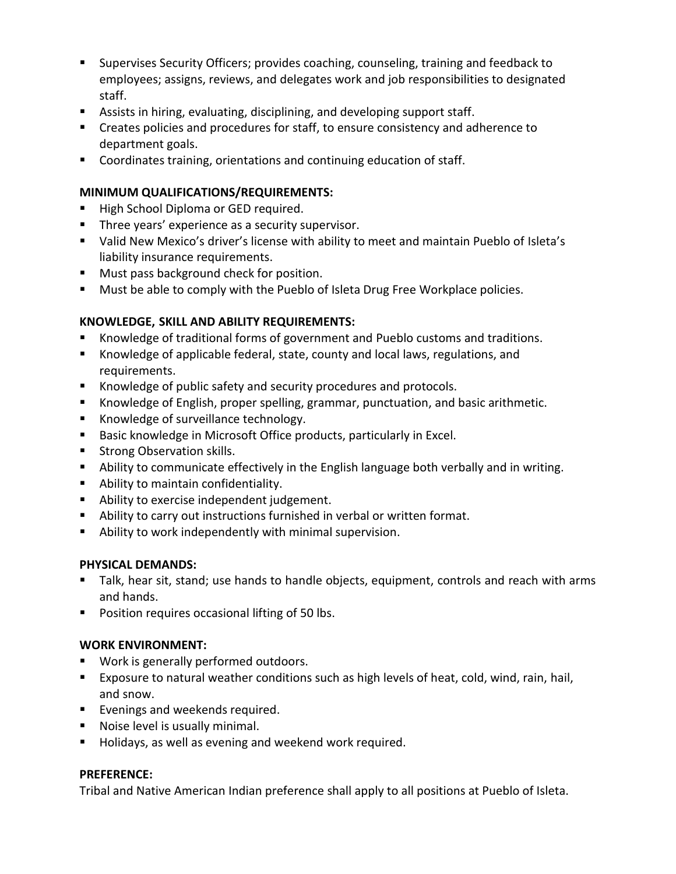- Supervises Security Officers; provides coaching, counseling, training and feedback to employees; assigns, reviews, and delegates work and job responsibilities to designated staff.
- Assists in hiring, evaluating, disciplining, and developing support staff.
- Creates policies and procedures for staff, to ensure consistency and adherence to department goals.
- Coordinates training, orientations and continuing education of staff.

# **MINIMUM QUALIFICATIONS/REQUIREMENTS:**

- High School Diploma or GED required.
- **Three years' experience as a security supervisor.**
- Valid New Mexico's driver's license with ability to meet and maintain Pueblo of Isleta's liability insurance requirements.
- **Must pass background check for position.**
- **Must be able to comply with the Pueblo of Isleta Drug Free Workplace policies.**

# **KNOWLEDGE, SKILL AND ABILITY REQUIREMENTS:**

- Knowledge of traditional forms of government and Pueblo customs and traditions.
- Knowledge of applicable federal, state, county and local laws, regulations, and requirements.
- Knowledge of public safety and security procedures and protocols.
- Knowledge of English, proper spelling, grammar, punctuation, and basic arithmetic.
- Knowledge of surveillance technology.
- **Basic knowledge in Microsoft Office products, particularly in Excel.**
- **Strong Observation skills.**
- Ability to communicate effectively in the English language both verbally and in writing.
- **Ability to maintain confidentiality.**
- **Ability to exercise independent judgement.**
- Ability to carry out instructions furnished in verbal or written format.
- Ability to work independently with minimal supervision.

### **PHYSICAL DEMANDS:**

- Talk, hear sit, stand; use hands to handle objects, equipment, controls and reach with arms and hands.
- **Position requires occasional lifting of 50 lbs.**

### **WORK ENVIRONMENT:**

- **Work is generally performed outdoors.**
- Exposure to natural weather conditions such as high levels of heat, cold, wind, rain, hail, and snow.
- **Evenings and weekends required.**
- **Noise level is usually minimal.**
- Holidays, as well as evening and weekend work required.

### **PREFERENCE:**

Tribal and Native American Indian preference shall apply to all positions at Pueblo of Isleta.